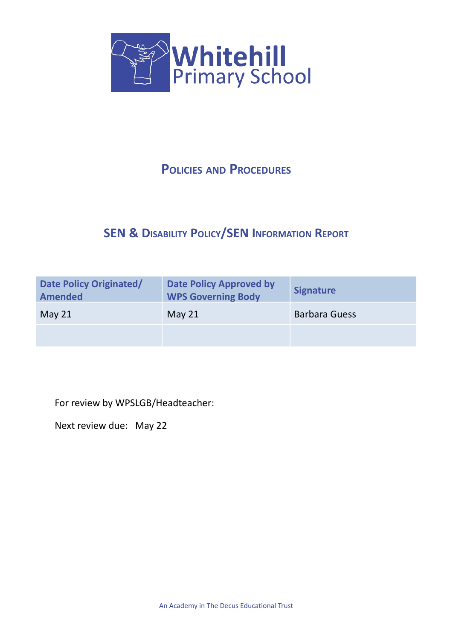

# **POLICIES AND PROCEDURES**

# **SEN & DISABILITY POLICY/SEN INFORMATION REPORT**

| Date Policy Originated/<br><b>Amended</b> | <b>Date Policy Approved by</b><br><b>WPS Governing Body</b> | <b>Signature</b>     |
|-------------------------------------------|-------------------------------------------------------------|----------------------|
| May $21$                                  | May $21$                                                    | <b>Barbara Guess</b> |
|                                           |                                                             |                      |

For review by WPSLGB/Headteacher:

Next review due: May 22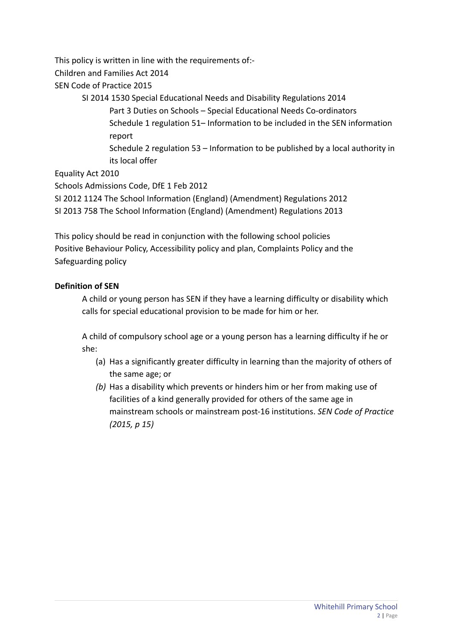This policy is written in line with the requirements of:-

Children and Families Act 2014

SEN Code of Practice 2015

SI 2014 1530 Special Educational Needs and Disability Regulations 2014 Part 3 Duties on Schools – Special Educational Needs Co-ordinators Schedule 1 regulation 51– Information to be included in the SEN information report Schedule 2 regulation 53 – Information to be published by a local authority in

its local offer

Equality Act 2010

Schools Admissions Code, DfE 1 Feb 2012

SI 2012 1124 The School Information (England) (Amendment) Regulations 2012

SI 2013 758 The School Information (England) (Amendment) Regulations 2013

This policy should be read in conjunction with the following school policies Positive Behaviour Policy, Accessibility policy and plan, Complaints Policy and the Safeguarding policy

### **Definition of SEN**

A child or young person has SEN if they have a learning difficulty or disability which calls for special educational provision to be made for him or her.

A child of compulsory school age or a young person has a learning difficulty if he or she:

- (a) Has a significantly greater difficulty in learning than the majority of others of the same age; or
- *(b)* Has a disability which prevents or hinders him or her from making use of facilities of a kind generally provided for others of the same age in mainstream schools or mainstream post-16 institutions. *SEN Code of Practice (2015, p 15)*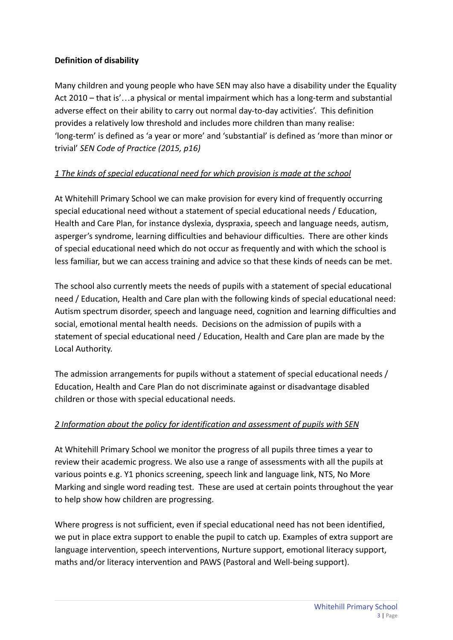#### **Definition of disability**

Many children and young people who have SEN may also have a disability under the Equality Act 2010 – that is'…a physical or mental impairment which has a long-term and substantial adverse effect on their ability to carry out normal day-to-day activities'. This definition provides a relatively low threshold and includes more children than many realise: 'long-term' is defined as 'a year or more' and 'substantial' is defined as 'more than minor or trivial' *SEN Code of Practice (2015, p16)*

### *1 The kinds of special educational need for which provision is made at the school*

At Whitehill Primary School we can make provision for every kind of frequently occurring special educational need without a statement of special educational needs / Education, Health and Care Plan, for instance dyslexia, dyspraxia, speech and language needs, autism, asperger's syndrome, learning difficulties and behaviour difficulties. There are other kinds of special educational need which do not occur as frequently and with which the school is less familiar, but we can access training and advice so that these kinds of needs can be met.

The school also currently meets the needs of pupils with a statement of special educational need / Education, Health and Care plan with the following kinds of special educational need: Autism spectrum disorder, speech and language need, cognition and learning difficulties and social, emotional mental health needs. Decisions on the admission of pupils with a statement of special educational need / Education, Health and Care plan are made by the Local Authority.

The admission arrangements for pupils without a statement of special educational needs / Education, Health and Care Plan do not discriminate against or disadvantage disabled children or those with special educational needs.

#### *2 Information about the policy for identification and assessment of pupils with SEN*

At Whitehill Primary School we monitor the progress of all pupils three times a year to review their academic progress. We also use a range of assessments with all the pupils at various points e.g. Y1 phonics screening, speech link and language link, NTS, No More Marking and single word reading test. These are used at certain points throughout the year to help show how children are progressing.

Where progress is not sufficient, even if special educational need has not been identified, we put in place extra support to enable the pupil to catch up. Examples of extra support are language intervention, speech interventions, Nurture support, emotional literacy support, maths and/or literacy intervention and PAWS (Pastoral and Well-being support).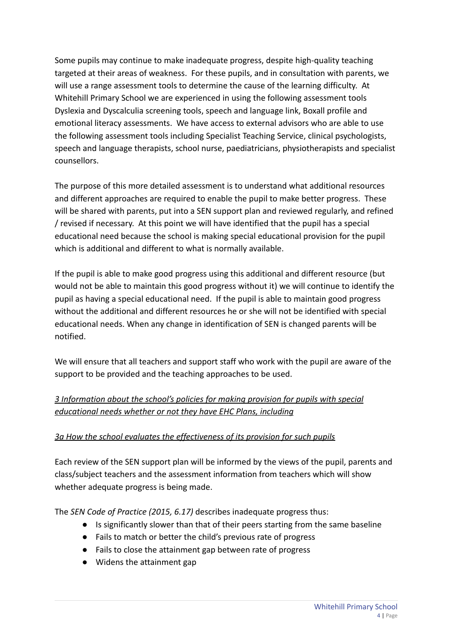Some pupils may continue to make inadequate progress, despite high-quality teaching targeted at their areas of weakness. For these pupils, and in consultation with parents, we will use a range assessment tools to determine the cause of the learning difficulty. At Whitehill Primary School we are experienced in using the following assessment tools Dyslexia and Dyscalculia screening tools, speech and language link, Boxall profile and emotional literacy assessments. We have access to external advisors who are able to use the following assessment tools including Specialist Teaching Service, clinical psychologists, speech and language therapists, school nurse, paediatricians, physiotherapists and specialist counsellors.

The purpose of this more detailed assessment is to understand what additional resources and different approaches are required to enable the pupil to make better progress. These will be shared with parents, put into a SEN support plan and reviewed regularly, and refined / revised if necessary. At this point we will have identified that the pupil has a special educational need because the school is making special educational provision for the pupil which is additional and different to what is normally available.

If the pupil is able to make good progress using this additional and different resource (but would not be able to maintain this good progress without it) we will continue to identify the pupil as having a special educational need. If the pupil is able to maintain good progress without the additional and different resources he or she will not be identified with special educational needs. When any change in identification of SEN is changed parents will be notified.

We will ensure that all teachers and support staff who work with the pupil are aware of the support to be provided and the teaching approaches to be used.

## *3 Information about the school's policies for making provision for pupils with special educational needs whether or not they have EHC Plans, including*

#### *3a How the school evaluates the effectiveness of its provision for such pupils*

Each review of the SEN support plan will be informed by the views of the pupil, parents and class/subject teachers and the assessment information from teachers which will show whether adequate progress is being made.

The *SEN Code of Practice (2015, 6.17)* describes inadequate progress thus:

- Is significantly slower than that of their peers starting from the same baseline
- Fails to match or better the child's previous rate of progress
- Fails to close the attainment gap between rate of progress
- Widens the attainment gap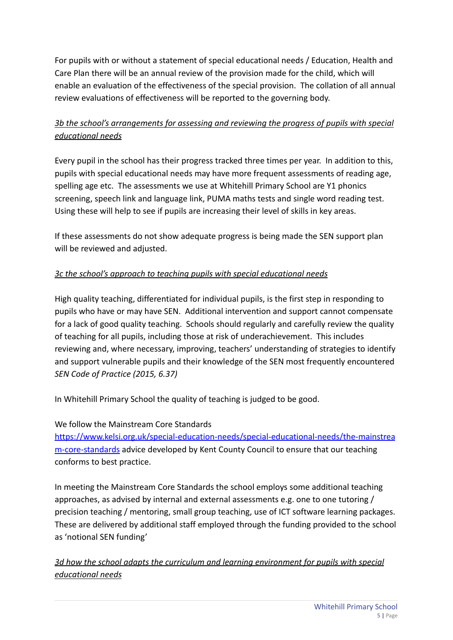For pupils with or without a statement of special educational needs / Education, Health and Care Plan there will be an annual review of the provision made for the child, which will enable an evaluation of the effectiveness of the special provision. The collation of all annual review evaluations of effectiveness will be reported to the governing body.

# *3b the school's arrangements for assessing and reviewing the progress of pupils with special educational needs*

Every pupil in the school has their progress tracked three times per year. In addition to this, pupils with special educational needs may have more frequent assessments of reading age, spelling age etc. The assessments we use at Whitehill Primary School are Y1 phonics screening, speech link and language link, PUMA maths tests and single word reading test. Using these will help to see if pupils are increasing their level of skills in key areas.

If these assessments do not show adequate progress is being made the SEN support plan will be reviewed and adjusted.

## *3c the school's approach to teaching pupils with special educational needs*

High quality teaching, differentiated for individual pupils, is the first step in responding to pupils who have or may have SEN. Additional intervention and support cannot compensate for a lack of good quality teaching. Schools should regularly and carefully review the quality of teaching for all pupils, including those at risk of underachievement. This includes reviewing and, where necessary, improving, teachers' understanding of strategies to identify and support vulnerable pupils and their knowledge of the SEN most frequently encountered *SEN Code of Practice (2015, 6.37)*

In Whitehill Primary School the quality of teaching is judged to be good.

#### We follow the Mainstream Core Standards

[https://www.kelsi.org.uk/special-education-needs/special-educational-needs/the-mainstrea](https://www.kelsi.org.uk/special-education-needs/special-educational-needs/the-mainstream-core-standards) [m-core-standards](https://www.kelsi.org.uk/special-education-needs/special-educational-needs/the-mainstream-core-standards) advice developed by Kent County Council to ensure that our teaching conforms to best practice.

In meeting the Mainstream Core Standards the school employs some additional teaching approaches, as advised by internal and external assessments e.g. one to one tutoring / precision teaching / mentoring, small group teaching, use of ICT software learning packages. These are delivered by additional staff employed through the funding provided to the school as 'notional SEN funding'

*3d how the school adapts the curriculum and learning environment for pupils with special educational needs*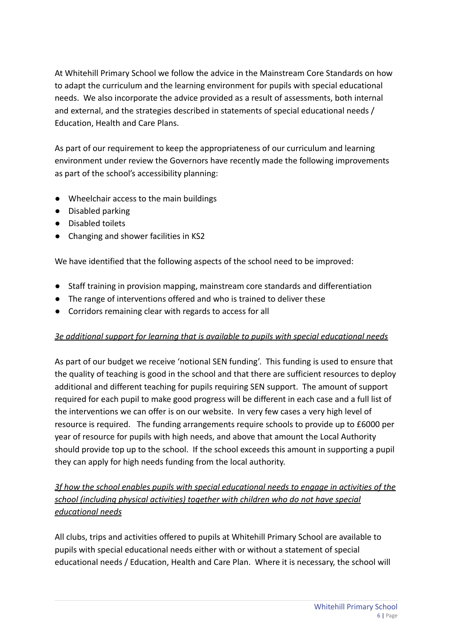At Whitehill Primary School we follow the advice in the Mainstream Core Standards on how to adapt the curriculum and the learning environment for pupils with special educational needs. We also incorporate the advice provided as a result of assessments, both internal and external, and the strategies described in statements of special educational needs / Education, Health and Care Plans.

As part of our requirement to keep the appropriateness of our curriculum and learning environment under review the Governors have recently made the following improvements as part of the school's accessibility planning:

- Wheelchair access to the main buildings
- Disabled parking
- Disabled toilets
- Changing and shower facilities in KS2

We have identified that the following aspects of the school need to be improved:

- Staff training in provision mapping, mainstream core standards and differentiation
- The range of interventions offered and who is trained to deliver these
- Corridors remaining clear with regards to access for all

#### *3e additional support for learning that is available to pupils with special educational needs*

As part of our budget we receive 'notional SEN funding'. This funding is used to ensure that the quality of teaching is good in the school and that there are sufficient resources to deploy additional and different teaching for pupils requiring SEN support. The amount of support required for each pupil to make good progress will be different in each case and a full list of the interventions we can offer is on our website. In very few cases a very high level of resource is required. The funding arrangements require schools to provide up to £6000 per year of resource for pupils with high needs, and above that amount the Local Authority should provide top up to the school. If the school exceeds this amount in supporting a pupil they can apply for high needs funding from the local authority.

*3f how the school enables pupils with special educational needs to engage in activities of the school (including physical activities) together with children who do not have special educational needs*

All clubs, trips and activities offered to pupils at Whitehill Primary School are available to pupils with special educational needs either with or without a statement of special educational needs / Education, Health and Care Plan. Where it is necessary, the school will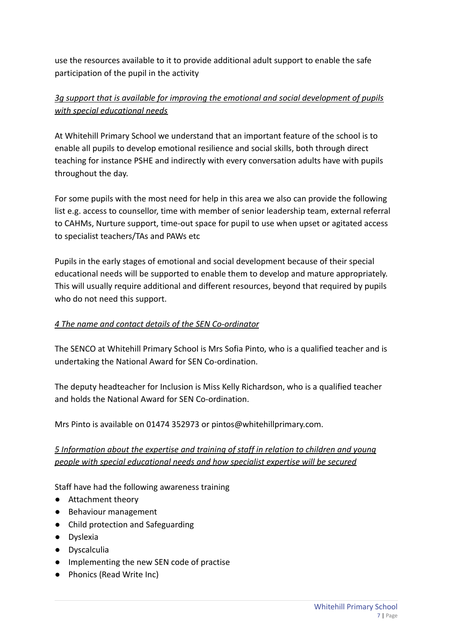use the resources available to it to provide additional adult support to enable the safe participation of the pupil in the activity

# *3g support that is available for improving the emotional and social development of pupils with special educational needs*

At Whitehill Primary School we understand that an important feature of the school is to enable all pupils to develop emotional resilience and social skills, both through direct teaching for instance PSHE and indirectly with every conversation adults have with pupils throughout the day.

For some pupils with the most need for help in this area we also can provide the following list e.g. access to counsellor, time with member of senior leadership team, external referral to CAHMs, Nurture support, time-out space for pupil to use when upset or agitated access to specialist teachers/TAs and PAWs etc

Pupils in the early stages of emotional and social development because of their special educational needs will be supported to enable them to develop and mature appropriately. This will usually require additional and different resources, beyond that required by pupils who do not need this support.

#### *4 The name and contact details of the SEN Co-ordinator*

The SENCO at Whitehill Primary School is Mrs Sofia Pinto, who is a qualified teacher and is undertaking the National Award for SEN Co-ordination.

The deputy headteacher for Inclusion is Miss Kelly Richardson, who is a qualified teacher and holds the National Award for SEN Co-ordination.

Mrs Pinto is available on 01474 352973 or pintos@whitehillprimary.com.

*5 Information about the expertise and training of staff in relation to children and young people with special educational needs and how specialist expertise will be secured*

Staff have had the following awareness training

- Attachment theory
- Behaviour management
- Child protection and Safeguarding
- Dyslexia
- Dyscalculia
- Implementing the new SEN code of practise
- Phonics (Read Write Inc)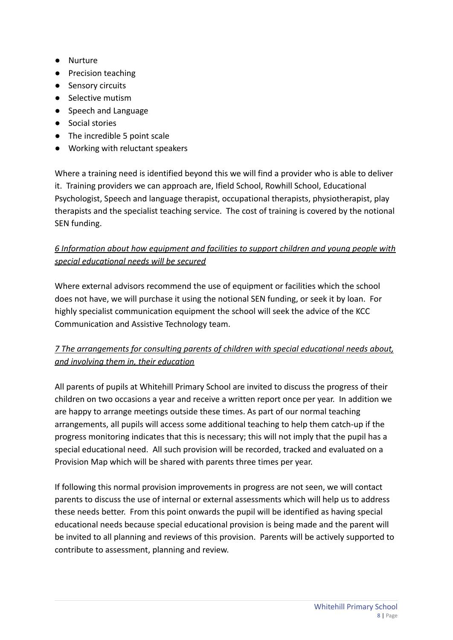- Nurture
- Precision teaching
- Sensory circuits
- Selective mutism
- Speech and Language
- Social stories
- The incredible 5 point scale
- Working with reluctant speakers

Where a training need is identified beyond this we will find a provider who is able to deliver it. Training providers we can approach are, Ifield School, Rowhill School, Educational Psychologist, Speech and language therapist, occupational therapists, physiotherapist, play therapists and the specialist teaching service. The cost of training is covered by the notional SEN funding.

# *6 Information about how equipment and facilities to support children and young people with special educational needs will be secured*

Where external advisors recommend the use of equipment or facilities which the school does not have, we will purchase it using the notional SEN funding, or seek it by loan. For highly specialist communication equipment the school will seek the advice of the KCC Communication and Assistive Technology team.

# *7 The arrangements for consulting parents of children with special educational needs about, and involving them in, their education*

All parents of pupils at Whitehill Primary School are invited to discuss the progress of their children on two occasions a year and receive a written report once per year. In addition we are happy to arrange meetings outside these times. As part of our normal teaching arrangements, all pupils will access some additional teaching to help them catch-up if the progress monitoring indicates that this is necessary; this will not imply that the pupil has a special educational need. All such provision will be recorded, tracked and evaluated on a Provision Map which will be shared with parents three times per year.

If following this normal provision improvements in progress are not seen, we will contact parents to discuss the use of internal or external assessments which will help us to address these needs better. From this point onwards the pupil will be identified as having special educational needs because special educational provision is being made and the parent will be invited to all planning and reviews of this provision. Parents will be actively supported to contribute to assessment, planning and review.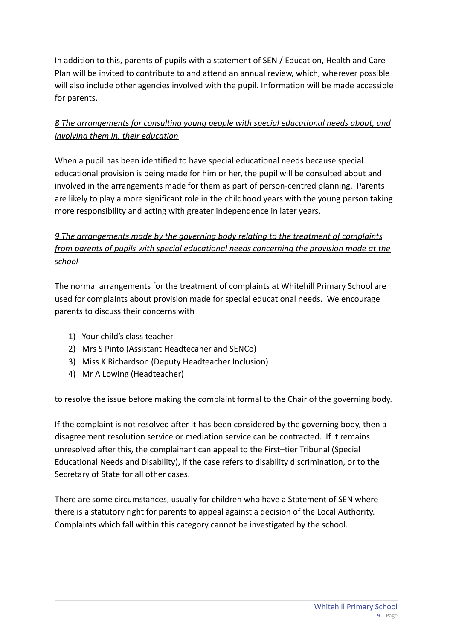In addition to this, parents of pupils with a statement of SEN / Education, Health and Care Plan will be invited to contribute to and attend an annual review, which, wherever possible will also include other agencies involved with the pupil. Information will be made accessible for parents.

# *8 The arrangements for consulting young people with special educational needs about, and involving them in, their education*

When a pupil has been identified to have special educational needs because special educational provision is being made for him or her, the pupil will be consulted about and involved in the arrangements made for them as part of person-centred planning. Parents are likely to play a more significant role in the childhood years with the young person taking more responsibility and acting with greater independence in later years.

# *9 The arrangements made by the governing body relating to the treatment of complaints from parents of pupils with special educational needs concerning the provision made at the school*

The normal arrangements for the treatment of complaints at Whitehill Primary School are used for complaints about provision made for special educational needs. We encourage parents to discuss their concerns with

- 1) Your child's class teacher
- 2) Mrs S Pinto (Assistant Headtecaher and SENCo)
- 3) Miss K Richardson (Deputy Headteacher Inclusion)
- 4) Mr A Lowing (Headteacher)

to resolve the issue before making the complaint formal to the Chair of the governing body.

If the complaint is not resolved after it has been considered by the governing body, then a disagreement resolution service or mediation service can be contracted. If it remains unresolved after this, the complainant can appeal to the First–tier Tribunal (Special Educational Needs and Disability), if the case refers to disability discrimination, or to the Secretary of State for all other cases.

There are some circumstances, usually for children who have a Statement of SEN where there is a statutory right for parents to appeal against a decision of the Local Authority. Complaints which fall within this category cannot be investigated by the school.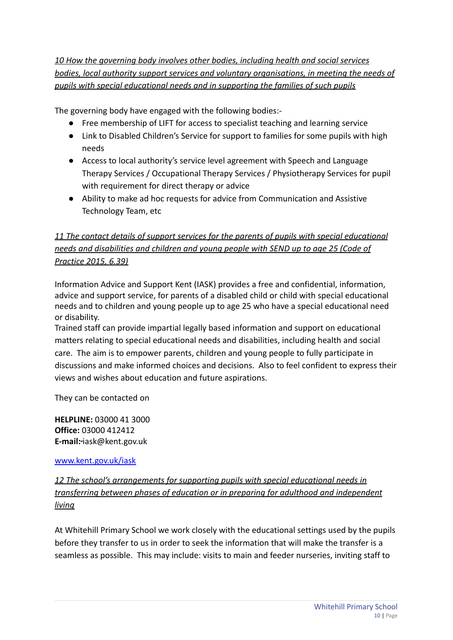*10 How the governing body involves other bodies, including health and social services bodies, local authority support services and voluntary organisations, in meeting the needs of pupils with special educational needs and in supporting the families of such pupils*

The governing body have engaged with the following bodies:-

- Free membership of LIFT for access to specialist teaching and learning service
- Link to Disabled Children's Service for support to families for some pupils with high needs
- Access to local authority's service level agreement with Speech and Language Therapy Services / Occupational Therapy Services / Physiotherapy Services for pupil with requirement for direct therapy or advice
- Ability to make ad hoc requests for advice from Communication and Assistive Technology Team, etc

# *11 The contact details of support services for the parents of pupils with special educational needs and disabilities and children and young people with SEND up to age 25 (Code of Practice 2015, 6.39)*

Information Advice and Support Kent (IASK) provides a free and confidential, information, advice and support service, for parents of a disabled child or child with special educational needs and to children and young people up to age 25 who have a special educational need or disability.

Trained staff can provide impartial legally based information and support on educational matters relating to special educational needs and disabilities, including health and social care. The aim is to empower parents, children and young people to fully participate in discussions and make informed choices and decisions. Also to feel confident to express their views and wishes about education and future aspirations.

They can be contacted on

**HELPLINE:** 03000 41 3000 **Office:** 03000 412412 **E-mail:** iask@kent.gov.uk

[www.kent.gov.uk/iask](http://www.kent.gov.uk/iask)

*12 The school's arrangements for supporting pupils with special educational needs in transferring between phases of education or in preparing for adulthood and independent living*

At Whitehill Primary School we work closely with the educational settings used by the pupils before they transfer to us in order to seek the information that will make the transfer is a seamless as possible. This may include: visits to main and feeder nurseries, inviting staff to